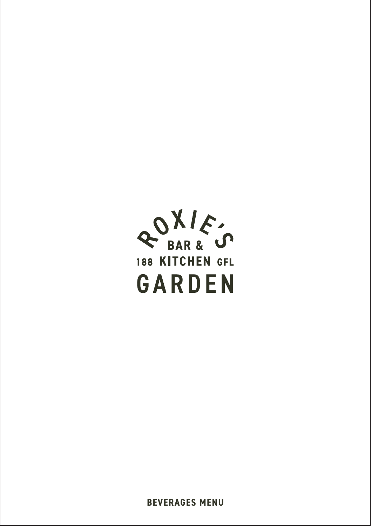

**BEVERAGES MENU**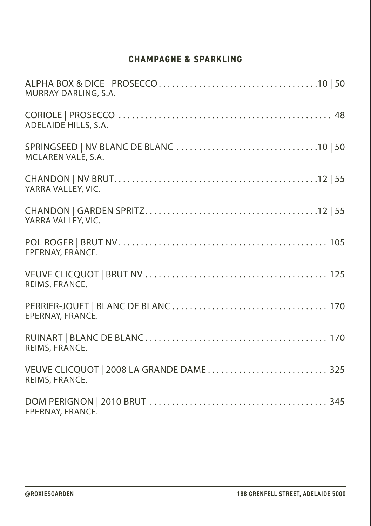## **CHAMPAGNE & SPARKLING**

| MURRAY DARLING, S.A.                                       |
|------------------------------------------------------------|
| ADELAIDE HILLS, S.A.                                       |
| MCLAREN VALE, S.A.                                         |
| YARRA VALLEY, VIC.                                         |
| YARRA VALLEY, VIC.                                         |
| EPERNAY, FRANCE.                                           |
| REIMS, FRANCE.                                             |
| EPERNAY, FRANCE.                                           |
| REIMS, FRANCE.                                             |
| VEUVE CLICQUOT   2008 LA GRANDE DAME 325<br>REIMS, FRANCE. |
| EPERNAY, FRANCE.                                           |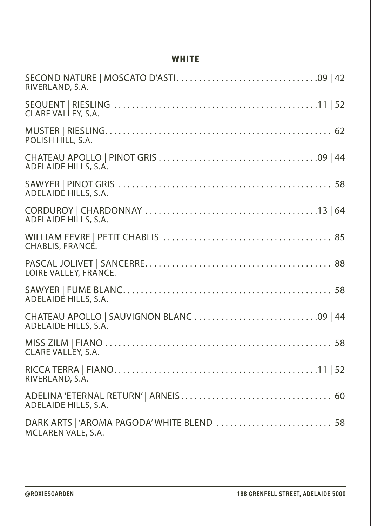#### **WHITE**

| RIVERLAND, S.A.                                                  |
|------------------------------------------------------------------|
| CLARE VALLEY, S.A.                                               |
| POLISH HILL, S.A.                                                |
| ADELAIDE HILLS, S.A.                                             |
| ADELAIDE HILLS, S.A.                                             |
| ADELAIDE HILLS, S.A.                                             |
| CHABLIS, FRANCE.                                                 |
| LOIRE VALLEY, FRANCE.                                            |
| ADELAIDE HILLS, S.A.                                             |
| ADELAIDE HILLS, S.A.                                             |
| CLARE VALLEY, S.A.                                               |
| RIVERLAND, S.A.                                                  |
| ADELAIDE HILLS, S.A.                                             |
| DARK ARTS   'AROMA PAGODA' WHITE BLEND  58<br>MCLAREN VALE, S.A. |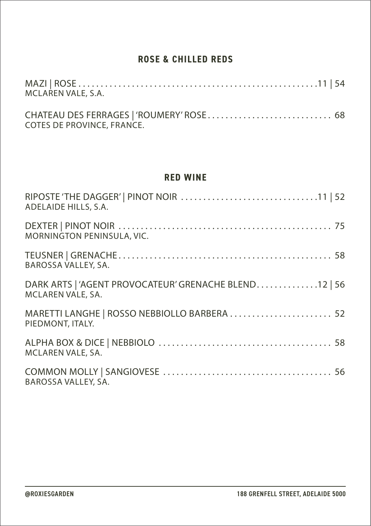### **ROSE & CHILLED REDS**

| MCLAREN VALE, S.A.         |  |
|----------------------------|--|
| COTES DE PROVINCE, FRANCE. |  |

#### **RED WINE**

| ADELAIDE HILLS, S.A.                                                       |
|----------------------------------------------------------------------------|
| MORNINGTON PENINSULA, VIC.                                                 |
| BAROSSA VALLEY, SA.                                                        |
| DARK ARTS   'AGENT PROVOCATEUR' GRENACHE BLEND12   56<br>MCLAREN VALE, SA. |
| MARETTI LANGHE   ROSSO NEBBIOLLO BARBERA  52<br>PIEDMONT, ITALY.           |
| MCLAREN VALE, SA.                                                          |
| BAROSSA VALLEY, SA.                                                        |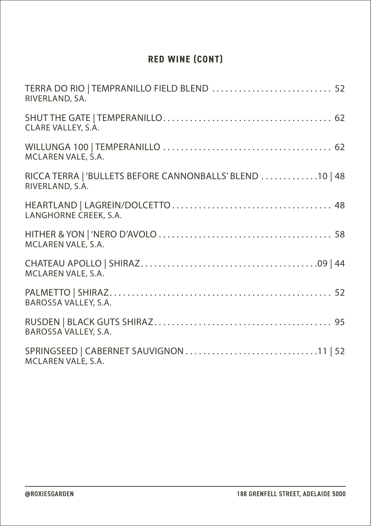# **RED WINE (CONT)**

| TERRA DO RIO   TEMPRANILLO FIELD BLEND  52<br>RIVERLAND, SA.                |
|-----------------------------------------------------------------------------|
| CLARE VALLEY, S.A.                                                          |
| MCLAREN VALE, S.A.                                                          |
| RICCA TERRA   'BULLETS BEFORE CANNONBALLS' BLEND 10   48<br>RIVERLAND, S.A. |
| LANGHORNE CREEK, S.A.                                                       |
| MCLAREN VALE, S.A.                                                          |
| MCLAREN VALE, S.A.                                                          |
| BAROSSA VALLEY, S.A.                                                        |
| BAROSSA VALLEY, S.A.                                                        |
| MCLAREN VALE, S.A.                                                          |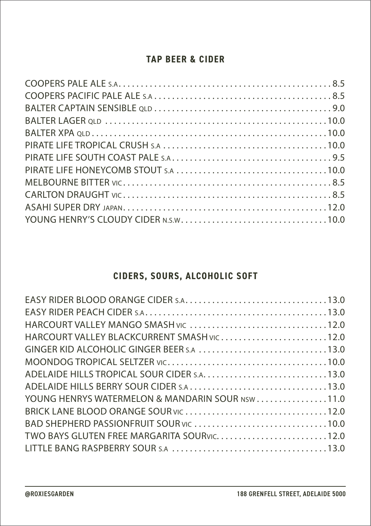### **TAP BEER & CIDER**

# **CIDERS, SOURS, ALCOHOLIC SOFT**

| HARCOURT VALLEY BLACKCURRENT SMASH VIC12.0      |  |
|-------------------------------------------------|--|
| GINGER KID ALCOHOLIC GINGER BEER S.A 13.0       |  |
|                                                 |  |
|                                                 |  |
|                                                 |  |
| YOUNG HENRYS WATERMELON & MANDARIN SOUR NSW11.0 |  |
|                                                 |  |
|                                                 |  |
|                                                 |  |
|                                                 |  |
|                                                 |  |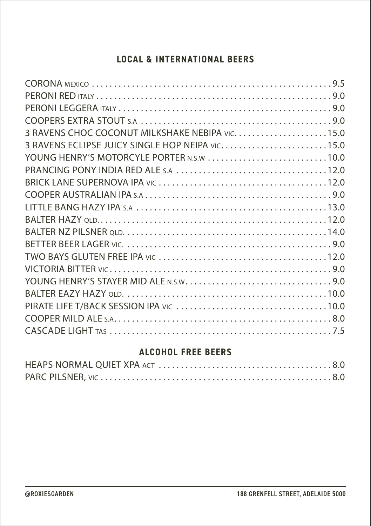## **LOCAL & INTERNATIONAL BEERS**

| 3 RAVENS CHOC COCONUT MILKSHAKE NEBIPA VIC15.0  |  |
|-------------------------------------------------|--|
| 3 RAVENS ECLIPSE JUICY SINGLE HOP NEIPA VIC15.0 |  |
| YOUNG HENRY'S MOTORCYLE PORTER N.S.W 10.0       |  |
|                                                 |  |
|                                                 |  |
|                                                 |  |
|                                                 |  |
|                                                 |  |
|                                                 |  |
|                                                 |  |
|                                                 |  |
|                                                 |  |
|                                                 |  |
|                                                 |  |
|                                                 |  |
|                                                 |  |
|                                                 |  |
|                                                 |  |

### **ALCOHOL FREE BEERS**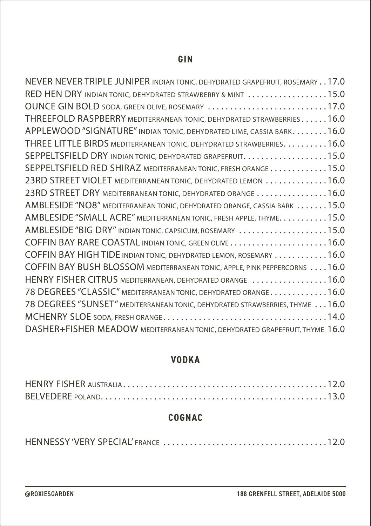#### **GIN**

| NEVER NEVER TRIPLE JUNIPER INDIAN TONIC, DEHYDRATED GRAPEFRUIT, ROSEMARY17.0 |
|------------------------------------------------------------------------------|
| RED HEN DRY INDIAN TONIC, DEHYDRATED STRAWBERRY & MINT 15.0                  |
| OUNCE GIN BOLD SODA, GREEN OLIVE, ROSEMARY 17.0                              |
| THREEFOLD RASPBERRY MEDITERRANEAN TONIC, DEHYDRATED STRAWBERRIES16.0         |
| APPLEWOOD "SIGNATURE" INDIAN TONIC, DEHYDRATED LIME, CASSIA BARK16.0         |
| THREE LITTLE BIRDS MEDITERRANEAN TONIC, DEHYDRATED STRAWBERRIES. 16.0        |
| SEPPELTSFIELD DRY INDIAN TONIC, DEHYDRATED GRAPEFRUIT. 15.0                  |
| SEPPELTSFIELD RED SHIRAZ MEDITERRANEAN TONIC, FRESH ORANGE15.0               |
| 23RD STREET VIOLET MEDITERRANEAN TONIC, DEHYDRATED LEMON 16.0                |
| 23RD STREET DRY MEDITERRANEAN TONIC, DEHYDRATED ORANGE 16.0                  |
| AMBLESIDE "NO8" MEDITERRANEAN TONIC, DEHYDRATED ORANGE, CASSIA BARK 15.0     |
| AMBLESIDE "SMALL ACRE" MEDITERRANEAN TONIC, FRESH APPLE, THYME. 15.0         |
| AMBLESIDE "BIG DRY" INDIAN TONIC, CAPSICUM, ROSEMARY 15.0                    |
|                                                                              |
| COFFIN BAY HIGH TIDE INDIAN TONIC, DEHYDRATED LEMON, ROSEMARY  16.0          |
| COFFIN BAY BUSH BLOSSOM MEDITERRANEAN TONIC, APPLE, PINK PEPPERCORNS 16.0    |
| HENRY FISHER CITRUS MEDITERRANEAN, DEHYDRATED ORANGE 16.0                    |
| 78 DEGREES "CLASSIC" MEDITERRANEAN TONIC, DEHYDRATED ORANGE16.0              |
| 78 DEGREES "SUNSET" MEDITERRANEAN TONIC, DEHYDRATED STRAWBERRIES, THYME 16.0 |
|                                                                              |
| DASHER+FISHER MEADOW MEDITERRANEAN TONIC, DEHYDRATED GRAPEFRUIT, THYME 16.0  |

### **VODKA**

## **COGNAC**

|--|--|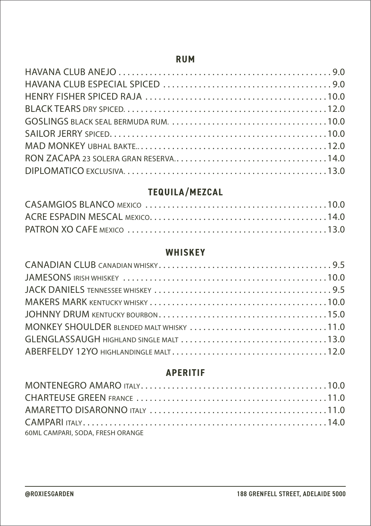#### **RUM**

# **TEQUILA/MEZCAL**

#### **WHISKEY**

| MONKEY SHOULDER BLENDED MALT WHISKY 11.0 |  |
|------------------------------------------|--|
|                                          |  |
|                                          |  |

## **APERITIF**

| 60ML CAMPARI, SODA, FRESH ORANGE |  |
|----------------------------------|--|